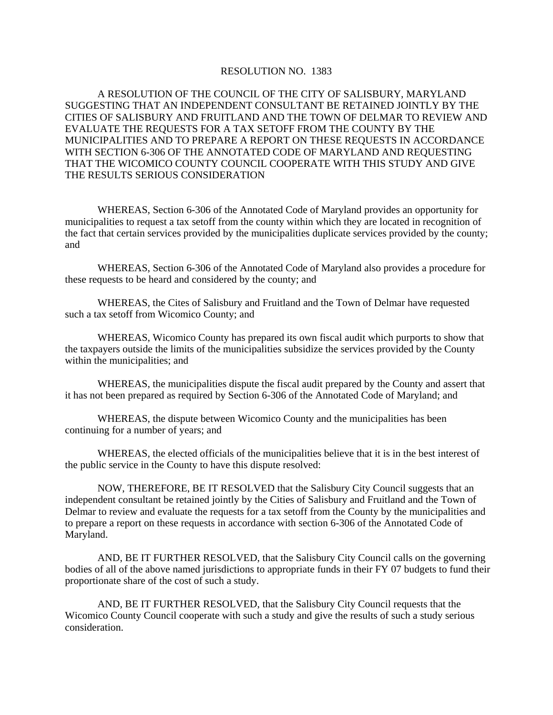## RESOLUTION NO. 1383

A RESOLUTION OF THE COUNCIL OF THE CITY OF SALISBURY, MARYLAND SUGGESTING THAT AN INDEPENDENT CONSULTANT BE RETAINED JOINTLY BY THE CITIES OF SALISBURY AND FRUITLAND AND THE TOWN OF DELMAR TO REVIEW AND EVALUATE THE REQUESTS FOR A TAX SETOFF FROM THE COUNTY BY THE MUNICIPALITIES AND TO PREPARE A REPORT ON THESE REQUESTS IN ACCORDANCE WITH SECTION 6-306 OF THE ANNOTATED CODE OF MARYLAND AND REQUESTING THAT THE WICOMICO COUNTY COUNCIL COOPERATE WITH THIS STUDY AND GIVE THE RESULTS SERIOUS CONSIDERATION

WHEREAS, Section 6-306 of the Annotated Code of Maryland provides an opportunity for municipalities to request a tax setoff from the county within which they are located in recognition of the fact that certain services provided by the municipalities duplicate services provided by the county; and

WHEREAS, Section 6-306 of the Annotated Code of Maryland also provides a procedure for these requests to be heard and considered by the county; and

WHEREAS, the Cites of Salisbury and Fruitland and the Town of Delmar have requested such a tax setoff from Wicomico County; and

WHEREAS, Wicomico County has prepared its own fiscal audit which purports to show that the taxpayers outside the limits of the municipalities subsidize the services provided by the County within the municipalities; and

WHEREAS, the municipalities dispute the fiscal audit prepared by the County and assert that it has not been prepared as required by Section 6-306 of the Annotated Code of Maryland; and

WHEREAS, the dispute between Wicomico County and the municipalities has been continuing for a number of years; and

WHEREAS, the elected officials of the municipalities believe that it is in the best interest of the public service in the County to have this dispute resolved:

NOW, THEREFORE, BE IT RESOLVED that the Salisbury City Council suggests that an independent consultant be retained jointly by the Cities of Salisbury and Fruitland and the Town of Delmar to review and evaluate the requests for a tax setoff from the County by the municipalities and to prepare a report on these requests in accordance with section 6-306 of the Annotated Code of Maryland.

 AND, BE IT FURTHER RESOLVED, that the Salisbury City Council calls on the governing bodies of all of the above named jurisdictions to appropriate funds in their FY 07 budgets to fund their proportionate share of the cost of such a study.

 AND, BE IT FURTHER RESOLVED, that the Salisbury City Council requests that the Wicomico County Council cooperate with such a study and give the results of such a study serious consideration.